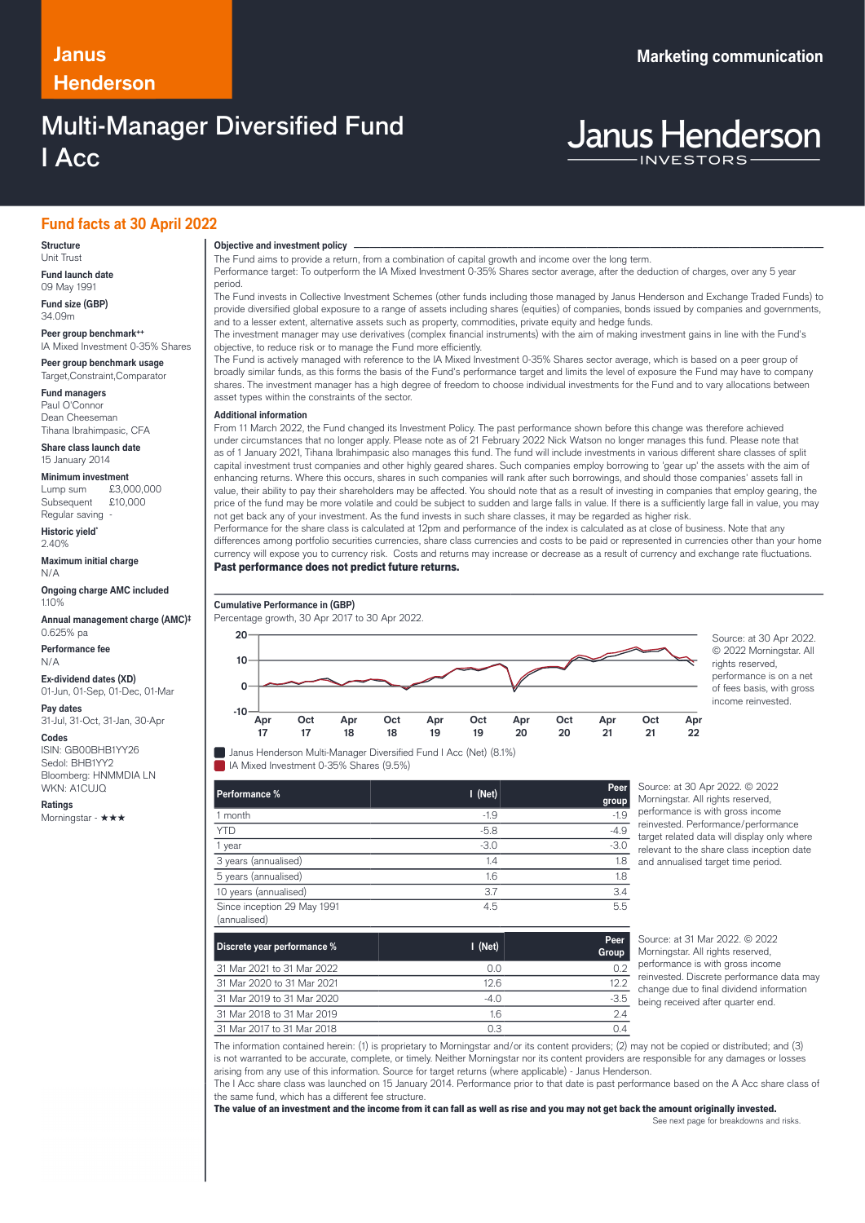# **Henderson**

# **Multi-Manager Diversified Fund** I Acc

# **Fund facts at 30 April 2022**

#### **Structure** Unit Trust

**Fund launch date** 09 May 1991

**Fund size (GBP)** 34.09m

**Peer group benchmark++** IA Mixed Investment 0-35% Shares

**Peer group benchmark usage** Target,Constraint,Comparator

**Fund managers** Paul O'Connor Dean Cheeseman Tihana Ibrahimpasic, CFA

**Share class launch date** 15 January 2014

**Minimum investment**<br>Lump sum £3.0  $£3,000,000$ <br>£10,000 Subsequent Regular saving

**Historic yield\***  $2.40%$ 

**Maximum initial charge** N/A

**Ongoing charge AMC included** 1.10%

**Annual management charge (AMC)‡** 0.625% pa

**Performance fee** N/A

**Ex-dividend dates (XD)** 01-Jun, 01-Sep, 01-Dec, 01-Mar

**Pay dates** 31-Jul, 31-Oct, 31-Jan, 30-Apr

### **Codes**

ISIN: GB00BHB1YY26 Sedol: BHB1YY2 Bloomberg: HNMMDIA LN WKN: A1CUJQ

**Ratings**

Morningstar - ★★★

# **Objective and investment policy** ────────────────────────────────────────────────────────────────────────────────────────────────────────────────────────────────────────────────────────────────────────────────────────────────────────────────────────────────────────────────────────────────────────────────────────────────────────────────────────────────────────────────────────────────────────────────────────────────────────────────────────────────────────────────────────────────────────────────────────────────────────────────────

The Fund aims to provide a return, from a combination of capital growth and income over the long term.

Performance target: To outperform the IA Mixed Investment 0-35% Shares sector average, after the deduction of charges, over any 5 year period.

The Fund invests in Collective Investment Schemes (other funds including those managed by Janus Henderson and Exchange Traded Funds) to provide diversified global exposure to a range of assets including shares (equities) of companies, bonds issued by companies and governments, and to a lesser extent, alternative assets such as property, commodities, private equity and hedge funds.

The investment manager may use derivatives (complex financial instruments) with the aim of making investment gains in line with the Fund's objective, to reduce risk or to manage the Fund more efficiently.

The Fund is actively managed with reference to the IA Mixed Investment 0-35% Shares sector average, which is based on a peer group of broadly similar funds, as this forms the basis of the Fund's performance target and limits the level of exposure the Fund may have to company shares. The investment manager has a high degree of freedom to choose individual investments for the Fund and to vary allocations between asset types within the constraints of the sector.

### **Additional information**

From 11 March 2022, the Fund changed its Investment Policy. The past performance shown before this change was therefore achieved under circumstances that no longer apply. Please note as of 21 February 2022 Nick Watson no longer manages this fund. Please note that as of 1 January 2021, Tihana Ibrahimpasic also manages this fund. The fund will include investments in various different share classes of split capital investment trust companies and other highly geared shares. Such companies employ borrowing to 'gear up' the assets with the aim of enhancing returns. Where this occurs, shares in such companies will rank after such borrowings, and should those companies' assets fall in value, their ability to pay their shareholders may be affected. You should note that as a result of investing in companies that employ gearing, the price of the fund may be more volatile and could be subject to sudden and large falls in value. If there is a sufficiently large fall in value, you may not get back any of your investment. As the fund invests in such share classes, it may be regarded as higher risk.

Performance for the share class is calculated at 12pm and performance of the index is calculated as at close of business. Note that any differences among portfolio securities currencies, share class currencies and costs to be paid or represented in currencies other than your home currency will expose you to currency risk. Costs and returns may increase or decrease as a result of currency and exchange rate fluctuations Past performance does not predict future returns.



© 2022 Morningstar. All rights reserved. performance is on a net of fees basis, with gross income reinvested.

**Janus Henderson Multi-Manager Diversified Fund I Acc (Net) (8.1%)** IA Mixed Investment 0-35% Shares (9.5%)

| Performance %                               | $I$ (Net) | Peer<br>group |
|---------------------------------------------|-----------|---------------|
| 1 month                                     | $-1.9$    | $-1.9$        |
| <b>YTD</b>                                  | $-5.8$    | $-4.9$        |
| 1 year                                      | $-3.0$    | $-3.0$        |
| 3 years (annualised)                        | 1.4       | 1.8           |
| 5 years (annualised)                        | 1.6       | 1.8           |
| 10 years (annualised)                       | 3.7       | 3.4           |
| Since inception 29 May 1991<br>(annualised) | 4.5       | 5.5           |

ource: at 30 Apr 2022. © 2022 Morningstar. All rights reserved, performance is with gross income einvested. Performance/performance traet related data will display only where relevant to the share class inception date nd annualised target time period.

**Apr 22**

| $\mu$                       |           |               |
|-----------------------------|-----------|---------------|
| Discrete year performance % | $I$ (Net) | Peer<br>Group |
| 31 Mar 2021 to 31 Mar 2022  | 0.0       | 0.2           |
| 31 Mar 2020 to 31 Mar 2021  | 12.6      | 12.2          |
| 31 Mar 2019 to 31 Mar 2020  | $-4.0$    | $-3.5$        |
| 31 Mar 2018 to 31 Mar 2019  | 1.6       | 2.4           |
| 31 Mar 2017 to 31 Mar 2018  | 0.3       | 04            |

Source: at 31 Mar 2022. © 2022 Morningstar. All rights reserved. performance is with gross income reinvested. Discrete performance data may change due to final dividend information being received after quarter end.

The information contained herein: (1) is proprietary to Morningstar and/or its content providers; (2) may not be copied or distributed; and (3) is not warranted to be accurate, complete, or timely. Neither Morningstar nor its content providers are responsible for any damages or losses arising from any use of this information. Source for target returns (where applicable) - Janus Henderson. The I Acc share class was launched on 15 January 2014. Performance prior to that date is past performance based on the A Acc share class of

the same fund, which has a different fee structure. The value of an investment and the income from it can fall as well as rise and you may not get back the amount originally invested.

See next page for breakdowns and risks.

**Janus Henderson**